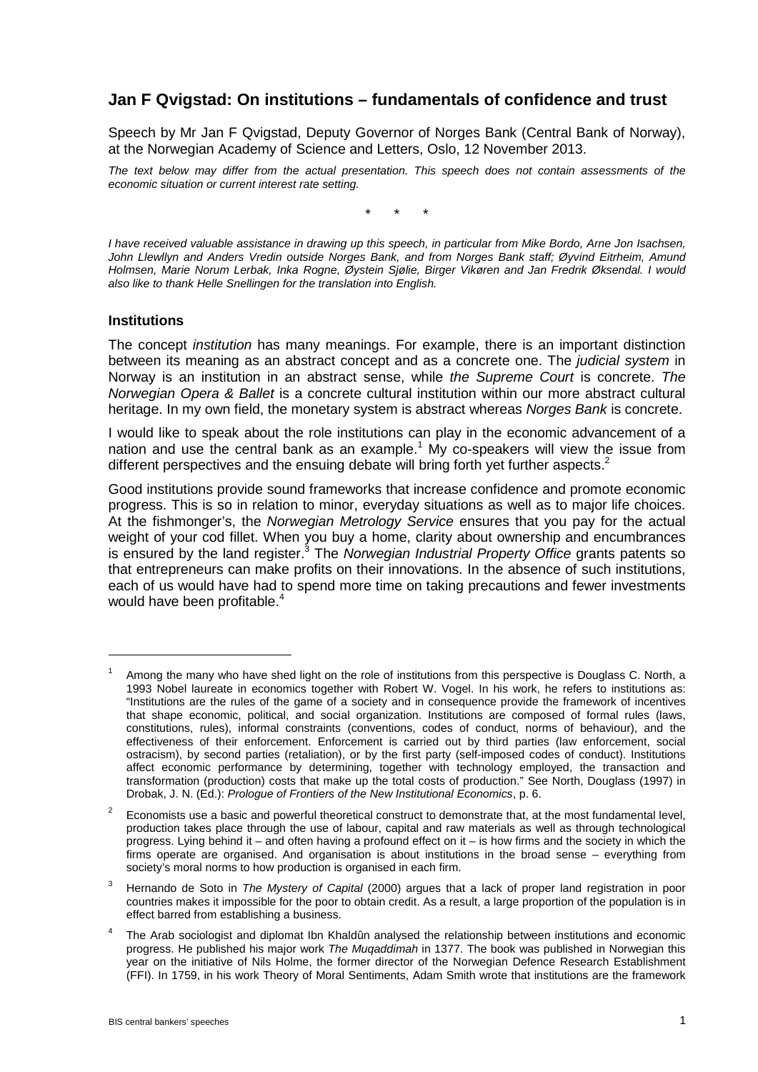# **Jan F Qvigstad: On institutions – fundamentals of confidence and trust**

Speech by Mr Jan F Qvigstad, Deputy Governor of Norges Bank (Central Bank of Norway), at the Norwegian Academy of Science and Letters, Oslo, 12 November 2013.

*The text below may differ from the actual presentation. This speech does not contain assessments of the economic situation or current interest rate setting.*

\* \* \*

*I have received valuable assistance in drawing up this speech, in particular from Mike Bordo, Arne Jon Isachsen, John Llewllyn and Anders Vredin outside Norges Bank, and from Norges Bank staff; Øyvind Eitrheim, Amund Holmsen, Marie Norum Lerbak, Inka Rogne, Øystein Sjølie, Birger Vikøren and Jan Fredrik Øksendal. I would also like to thank Helle Snellingen for the translation into English.*

#### **Institutions**

1

The concept *institution* has many meanings. For example, there is an important distinction between its meaning as an abstract concept and as a concrete one. The *judicial system* in Norway is an institution in an abstract sense, while *the Supreme Court* is concrete. *The Norwegian Opera & Ballet* is a concrete cultural institution within our more abstract cultural heritage. In my own field, the monetary system is abstract whereas *Norges Bank* is concrete.

I would like to speak about the role institutions can play in the economic advancement of a nation and use the central bank as an example. <sup>1</sup> My co-speakers will view the issue from different perspectives and the ensuing debate will bring forth yet further aspects.<sup>2</sup>

Good institutions provide sound frameworks that increase confidence and promote economic progress. This is so in relation to minor, everyday situations as well as to major life choices. At the fishmonger's, the *Norwegian Metrology Service* ensures that you pay for the actual weight of your cod fillet. When you buy a home, clarity about ownership and encumbrances is ensured by the land register. <sup>3</sup> The *Norwegian Industrial Property Office* grants patents so that entrepreneurs can make profits on their innovations. In the absence of such institutions, each of us would have had to spend more time on taking precautions and fewer investments would have been profitable. 4

Among the many who have shed light on the role of institutions from this perspective is Douglass C. North, a 1993 Nobel laureate in economics together with Robert W. Vogel. In his work, he refers to institutions as: "Institutions are the rules of the game of a society and in consequence provide the framework of incentives that shape economic, political, and social organization. Institutions are composed of formal rules (laws, constitutions, rules), informal constraints (conventions, codes of conduct, norms of behaviour), and the effectiveness of their enforcement. Enforcement is carried out by third parties (law enforcement, social ostracism), by second parties (retaliation), or by the first party (self-imposed codes of conduct). Institutions affect economic performance by determining, together with technology employed, the transaction and transformation (production) costs that make up the total costs of production." See North, Douglass (1997) in Drobak, J. N. (Ed.): *Prologue of Frontiers of the New Institutional Economics*, p. 6.

<sup>2</sup> Economists use a basic and powerful theoretical construct to demonstrate that, at the most fundamental level, production takes place through the use of labour, capital and raw materials as well as through technological progress. Lying behind it – and often having a profound effect on it – is how firms and the society in which the firms operate are organised. And organisation is about institutions in the broad sense – everything from society's moral norms to how production is organised in each firm.

<sup>3</sup> Hernando de Soto in *The Mystery of Capital* (2000) argues that a lack of proper land registration in poor countries makes it impossible for the poor to obtain credit. As a result, a large proportion of the population is in effect barred from establishing a business.

The Arab sociologist and diplomat Ibn Khaldûn analysed the relationship between institutions and economic progress. He published his major work *The Muqaddimah* in 1377. The book was published in Norwegian this year on the initiative of Nils Holme, the former director of the Norwegian Defence Research Establishment (FFI). In 1759, in his work Theory of Moral Sentiments, Adam Smith wrote that institutions are the framework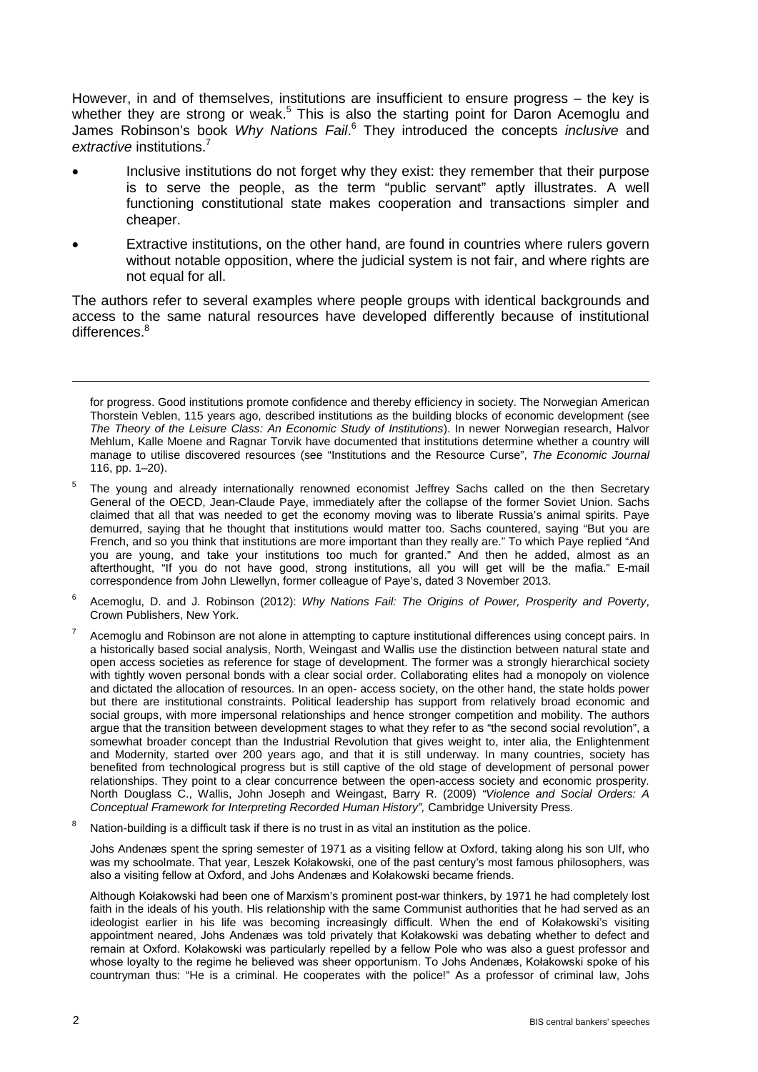However, in and of themselves, institutions are insufficient to ensure progress – the key is whether they are strong or weak.<sup>5</sup> This is also the starting point for Daron Acemoglu and James Robinson's book *Why Nations Fail*. <sup>6</sup> They introduced the concepts *inclusive* and *extractive* institutions. 7

- Inclusive institutions do not forget why they exist: they remember that their purpose is to serve the people, as the term "public servant" aptly illustrates. A well functioning constitutional state makes cooperation and transactions simpler and cheaper.
- Extractive institutions, on the other hand, are found in countries where rulers govern without notable opposition, where the judicial system is not fair, and where rights are not equal for all.

The authors refer to several examples where people groups with identical backgrounds and access to the same natural resources have developed differently because of institutional differences.<sup>8</sup>

- <sup>5</sup> The young and already internationally renowned economist Jeffrey Sachs called on the then Secretary General of the OECD, Jean-Claude Paye, immediately after the collapse of the former Soviet Union. Sachs claimed that all that was needed to get the economy moving was to liberate Russia's animal spirits. Paye demurred, saying that he thought that institutions would matter too. Sachs countered, saying "But you are French, and so you think that institutions are more important than they really are." To which Paye replied "And you are young, and take your institutions too much for granted." And then he added, almost as an afterthought, "If you do not have good, strong institutions, all you will get will be the mafia." E-mail correspondence from John Llewellyn, former colleague of Paye's, dated 3 November 2013.
- <sup>6</sup> Acemoglu, D. and J. Robinson (2012): *Why Nations Fail: The Origins of Power, Prosperity and Poverty*, Crown Publishers, New York.
- Acemoglu and Robinson are not alone in attempting to capture institutional differences using concept pairs. In a historically based social analysis, North, Weingast and Wallis use the distinction between natural state and open access societies as reference for stage of development. The former was a strongly hierarchical society with tightly woven personal bonds with a clear social order. Collaborating elites had a monopoly on violence and dictated the allocation of resources. In an open- access society, on the other hand, the state holds power but there are institutional constraints. Political leadership has support from relatively broad economic and social groups, with more impersonal relationships and hence stronger competition and mobility. The authors argue that the transition between development stages to what they refer to as "the second social revolution", a somewhat broader concept than the Industrial Revolution that gives weight to, inter alia, the Enlightenment and Modernity, started over 200 years ago, and that it is still underway. In many countries, society has benefited from technological progress but is still captive of the old stage of development of personal power relationships. They point to a clear concurrence between the open-access society and economic prosperity. North Douglass C., Wallis, John Joseph and Weingast, Barry R. (2009) *"Violence and Social Orders: A Conceptual Framework for Interpreting Recorded Human History",* Cambridge University Press.
- Nation-building is a difficult task if there is no trust in as vital an institution as the police.

Johs Andenæs spent the spring semester of 1971 as a visiting fellow at Oxford, taking along his son Ulf, who was my schoolmate. That year, Leszek Kołakowski, one of the past century's most famous philosophers, was also a visiting fellow at Oxford, and Johs Andenæs and Kołakowski became friends.

Although Kołakowski had been one of Marxism's prominent post-war thinkers, by 1971 he had completely lost faith in the ideals of his youth. His relationship with the same Communist authorities that he had served as an ideologist earlier in his life was becoming increasingly difficult. When the end of Kołakowski's visiting appointment neared, Johs Andenæs was told privately that Kołakowski was debating whether to defect and remain at Oxford. Kołakowski was particularly repelled by a fellow Pole who was also a guest professor and whose loyalty to the regime he believed was sheer opportunism. To Johs Andenæs, Kołakowski spoke of his countryman thus: "He is a criminal. He cooperates with the police!" As a professor of criminal law, Johs

for progress. Good institutions promote confidence and thereby efficiency in society. The Norwegian American Thorstein Veblen, 115 years ago, described institutions as the building blocks of economic development (see *The Theory of the Leisure Class: An Economic Study of Institutions*). In newer Norwegian research, Halvor Mehlum, Kalle Moene and Ragnar Torvik have documented that institutions determine whether a country will manage to utilise discovered resources (see "Institutions and the Resource Curse", *The Economic Journal* 116, pp. 1–20).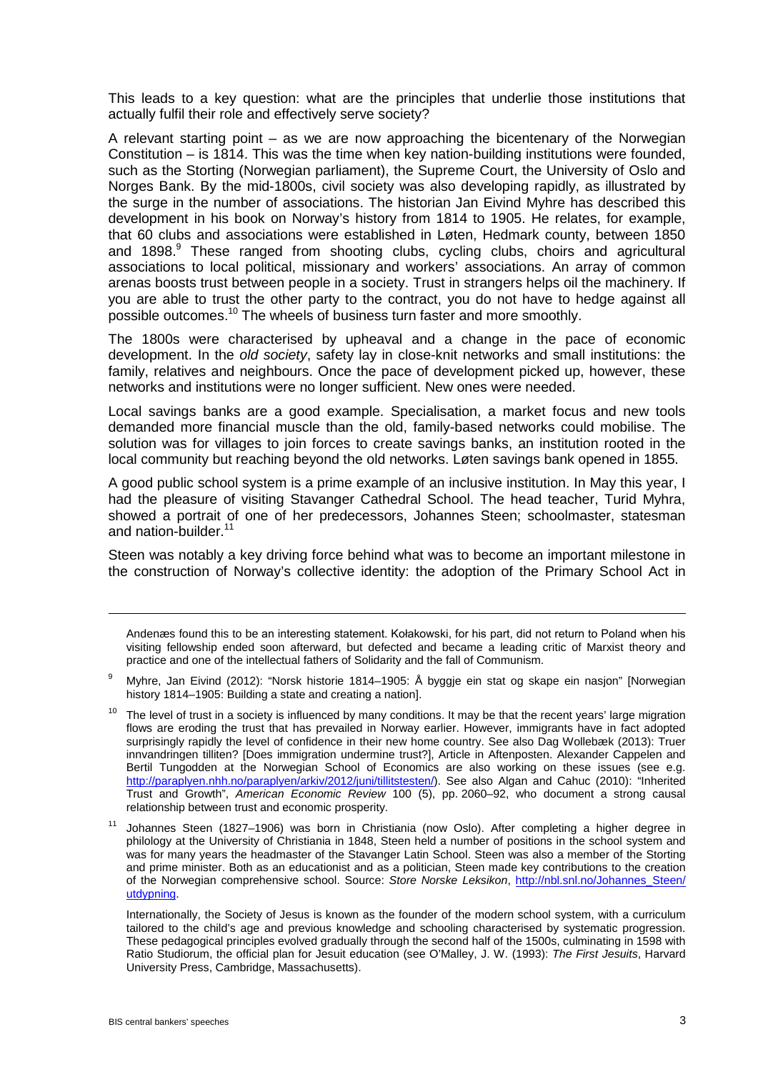This leads to a key question: what are the principles that underlie those institutions that actually fulfil their role and effectively serve society?

A relevant starting point – as we are now approaching the bicentenary of the Norwegian Constitution – is 1814. This was the time when key nation-building institutions were founded, such as the Storting (Norwegian parliament), the Supreme Court, the University of Oslo and Norges Bank. By the mid-1800s, civil society was also developing rapidly, as illustrated by the surge in the number of associations. The historian Jan Eivind Myhre has described this development in his book on Norway's history from 1814 to 1905. He relates, for example, that 60 clubs and associations were established in Løten, Hedmark county, between 1850 and 1898. <sup>9</sup> These ranged from shooting clubs, cycling clubs, choirs and agricultural associations to local political, missionary and workers' associations. An array of common arenas boosts trust between people in a society. Trust in strangers helps oil the machinery. If you are able to trust the other party to the contract, you do not have to hedge against all possible outcomes.<sup>10</sup> The wheels of business turn faster and more smoothly.

The 1800s were characterised by upheaval and a change in the pace of economic development. In the *old society*, safety lay in close-knit networks and small institutions: the family, relatives and neighbours. Once the pace of development picked up, however, these networks and institutions were no longer sufficient. New ones were needed.

Local savings banks are a good example. Specialisation, a market focus and new tools demanded more financial muscle than the old, family-based networks could mobilise. The solution was for villages to join forces to create savings banks, an institution rooted in the local community but reaching beyond the old networks. Løten savings bank opened in 1855.

A good public school system is a prime example of an inclusive institution. In May this year, I had the pleasure of visiting Stavanger Cathedral School. The head teacher, Turid Myhra, showed a portrait of one of her predecessors, Johannes Steen; schoolmaster, statesman and nation-builder. 11

Steen was notably a key driving force behind what was to become an important milestone in the construction of Norway's collective identity: the adoption of the Primary School Act in

Andenæs found this to be an interesting statement. Kołakowski, for his part, did not return to Poland when his visiting fellowship ended soon afterward, but defected and became a leading critic of Marxist theory and practice and one of the intellectual fathers of Solidarity and the fall of Communism.

- <sup>9</sup> Myhre, Jan Eivind (2012): "Norsk historie 1814–1905: Å byggje ein stat og skape ein nasjon" [Norwegian history 1814–1905: Building a state and creating a nation].
- $10$  The level of trust in a society is influenced by many conditions. It may be that the recent years' large migration flows are eroding the trust that has prevailed in Norway earlier. However, immigrants have in fact adopted surprisingly rapidly the level of confidence in their new home country. See also Dag Wollebæk (2013): Truer innvandringen tilliten? [Does immigration undermine trust?], Article in Aftenposten. Alexander Cappelen and Bertil Tungodden at the Norwegian School of Economics are also working on these issues (see e.g. [http://paraplyen.nhh.no/paraplyen/arkiv/2012/juni/tillitstesten/\)](http://paraplyen.nhh.no/paraplyen/arkiv/2012/juni/tillitstesten/). See also Algan and Cahuc (2010): "Inherited Trust and Growth", *American Economic Review* 100 (5), pp. 2060–92, who document a strong causal relationship between trust and economic prosperity.

<sup>11</sup> Johannes Steen (1827–1906) was born in Christiania (now Oslo). After completing a higher degree in philology at the University of Christiania in 1848, Steen held a number of positions in the school system and was for many years the headmaster of the Stavanger Latin School. Steen was also a member of the Storting and prime minister. Both as an educationist and as a politician, Steen made key contributions to the creation of the Norwegian comprehensive school. Source: *Store Norske Leksikon*, [http://nbl.snl.no/Johannes\\_Steen/](http://nbl.snl.no/Johannes_Steen/%0butdypning) [utdypning.](http://nbl.snl.no/Johannes_Steen/%0butdypning)

Internationally, the Society of Jesus is known as the founder of the modern school system, with a curriculum tailored to the child's age and previous knowledge and schooling characterised by systematic progression. These pedagogical principles evolved gradually through the second half of the 1500s, culminating in 1598 with Ratio Studiorum, the official plan for Jesuit education (see O'Malley, J. W. (1993): *The First Jesuits*, Harvard University Press, Cambridge, Massachusetts).

1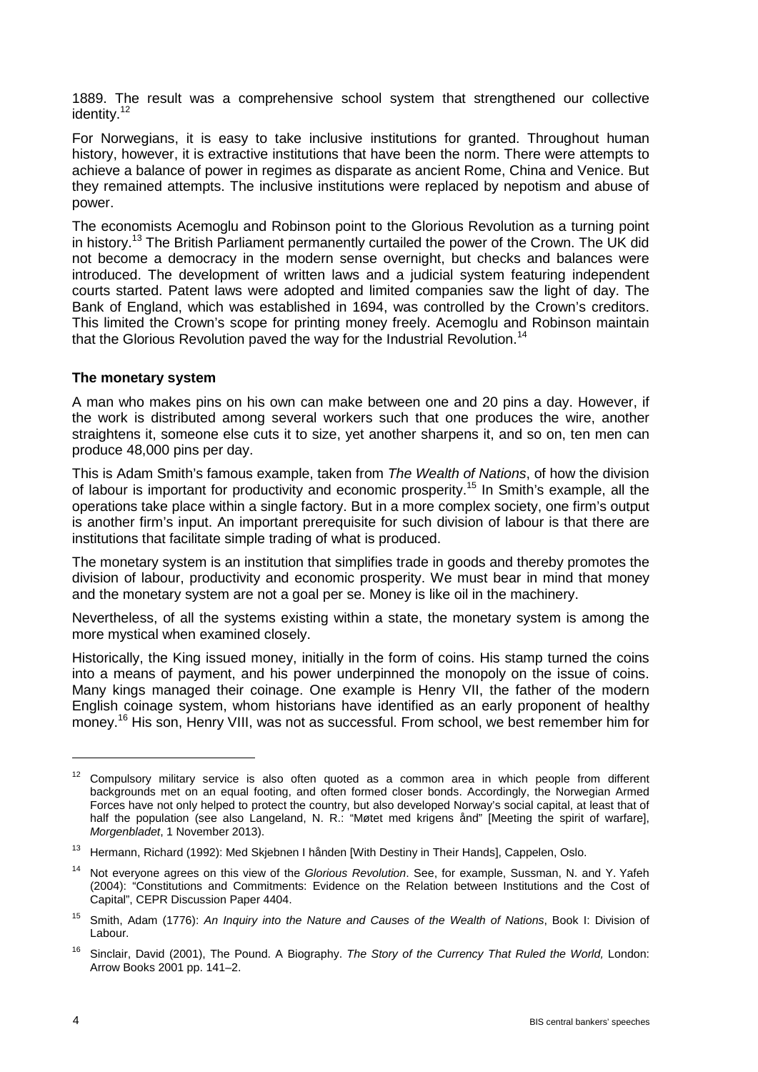1889. The result was a comprehensive school system that strengthened our collective identity. 12

For Norwegians, it is easy to take inclusive institutions for granted. Throughout human history, however, it is extractive institutions that have been the norm. There were attempts to achieve a balance of power in regimes as disparate as ancient Rome, China and Venice. But they remained attempts. The inclusive institutions were replaced by nepotism and abuse of power.

The economists Acemoglu and Robinson point to the Glorious Revolution as a turning point in history.<sup>13</sup> The British Parliament permanently curtailed the power of the Crown. The UK did not become a democracy in the modern sense overnight, but checks and balances were introduced. The development of written laws and a judicial system featuring independent courts started. Patent laws were adopted and limited companies saw the light of day. The Bank of England, which was established in 1694, was controlled by the Crown's creditors. This limited the Crown's scope for printing money freely. Acemoglu and Robinson maintain that the Glorious Revolution paved the way for the Industrial Revolution.<sup>14</sup>

### **The monetary system**

A man who makes pins on his own can make between one and 20 pins a day. However, if the work is distributed among several workers such that one produces the wire, another straightens it, someone else cuts it to size, yet another sharpens it, and so on, ten men can produce 48,000 pins per day.

This is Adam Smith's famous example, taken from *The Wealth of Nations*, of how the division of labour is important for productivity and economic prosperity.<sup>15</sup> In Smith's example, all the operations take place within a single factory. But in a more complex society, one firm's output is another firm's input. An important prerequisite for such division of labour is that there are institutions that facilitate simple trading of what is produced.

The monetary system is an institution that simplifies trade in goods and thereby promotes the division of labour, productivity and economic prosperity. We must bear in mind that money and the monetary system are not a goal per se. Money is like oil in the machinery.

Nevertheless, of all the systems existing within a state, the monetary system is among the more mystical when examined closely.

Historically, the King issued money, initially in the form of coins. His stamp turned the coins into a means of payment, and his power underpinned the monopoly on the issue of coins. Many kings managed their coinage. One example is Henry VII, the father of the modern English coinage system, whom historians have identified as an early proponent of healthy money. <sup>16</sup> His son, Henry VIII, was not as successful. From school, we best remember him for

<sup>&</sup>lt;sup>12</sup> Compulsory military service is also often quoted as a common area in which people from different backgrounds met on an equal footing, and often formed closer bonds. Accordingly, the Norwegian Armed Forces have not only helped to protect the country, but also developed Norway's social capital, at least that of half the population (see also Langeland, N. R.: "Møtet med krigens ånd" [Meeting the spirit of warfare], *Morgenbladet*, 1 November 2013).

<sup>&</sup>lt;sup>13</sup> Hermann, Richard (1992): Med Skjebnen I hånden [With Destiny in Their Hands], Cappelen, Oslo.

<sup>14</sup> Not everyone agrees on this view of the *Glorious Revolution*. See, for example, Sussman, N. and Y. Yafeh (2004): "Constitutions and Commitments: Evidence on the Relation between Institutions and the Cost of Capital", CEPR Discussion Paper 4404.

<sup>15</sup> Smith, Adam (1776): *An Inquiry into the Nature and Causes of the Wealth of Nations*, Book I: Division of Labour.

<sup>16</sup> Sinclair, David (2001), The Pound. A Biography. *The Story of the Currency That Ruled the World,* London: Arrow Books 2001 pp. 141–2.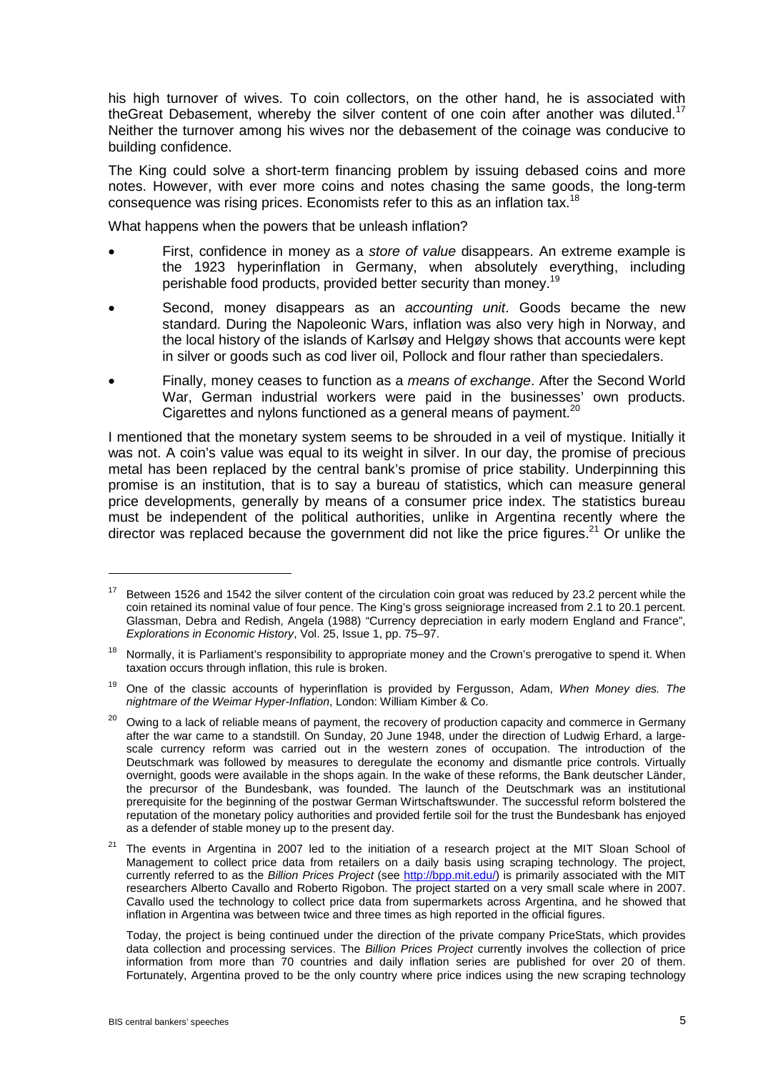his high turnover of wives. To coin collectors, on the other hand, he is associated with theGreat Debasement, whereby the silver content of one coin after another was diluted.<sup>17</sup> Neither the turnover among his wives nor the debasement of the coinage was conducive to building confidence.

The King could solve a short-term financing problem by issuing debased coins and more notes. However, with ever more coins and notes chasing the same goods, the long-term consequence was rising prices. Economists refer to this as an inflation tax.<sup>18</sup>

What happens when the powers that be unleash inflation?

- First, confidence in money as a *store of value* disappears. An extreme example is the 1923 hyperinflation in Germany, when absolutely everything, including perishable food products, provided better security than money.<sup>19</sup>
- Second, money disappears as an *accounting unit*. Goods became the new standard. During the Napoleonic Wars, inflation was also very high in Norway, and the local history of the islands of Karlsøy and Helgøy shows that accounts were kept in silver or goods such as cod liver oil, Pollock and flour rather than speciedalers.
- Finally, money ceases to function as a *means of exchange*. After the Second World War, German industrial workers were paid in the businesses' own products. Cigarettes and nylons functioned as a general means of payment. $20$

I mentioned that the monetary system seems to be shrouded in a veil of mystique. Initially it was not. A coin's value was equal to its weight in silver. In our day, the promise of precious metal has been replaced by the central bank's promise of price stability. Underpinning this promise is an institution, that is to say a bureau of statistics, which can measure general price developments, generally by means of a consumer price index. The statistics bureau must be independent of the political authorities, unlike in Argentina recently where the director was replaced because the government did not like the price figures.<sup>21</sup> Or unlike the

Today, the project is being continued under the direction of the private company PriceStats, which provides data collection and processing services. The *Billion Prices Project* currently involves the collection of price information from more than 70 countries and daily inflation series are published for over 20 of them. Fortunately, Argentina proved to be the only country where price indices using the new scraping technology

1

 $17$  Between 1526 and 1542 the silver content of the circulation coin groat was reduced by 23.2 percent while the coin retained its nominal value of four pence. The King's gross seigniorage increased from 2.1 to 20.1 percent. Glassman, Debra and Redish, Angela (1988) "Currency depreciation in early modern England and France", *Explorations in Economic History*, Vol. 25, Issue 1, pp. 75–97.

<sup>&</sup>lt;sup>18</sup> Normally, it is Parliament's responsibility to appropriate money and the Crown's prerogative to spend it. When taxation occurs through inflation, this rule is broken.

<sup>19</sup> One of the classic accounts of hyperinflation is provided by Fergusson, Adam, *When Money dies. The nightmare of the Weimar Hyper-Inflation*, London: William Kimber & Co.

<sup>&</sup>lt;sup>20</sup> Owing to a lack of reliable means of payment, the recovery of production capacity and commerce in Germany after the war came to a standstill. On Sunday, 20 June 1948, under the direction of Ludwig Erhard, a largescale currency reform was carried out in the western zones of occupation. The introduction of the Deutschmark was followed by measures to deregulate the economy and dismantle price controls. Virtually overnight, goods were available in the shops again. In the wake of these reforms, the Bank deutscher Länder, the precursor of the Bundesbank, was founded. The launch of the Deutschmark was an institutional prerequisite for the beginning of the postwar German Wirtschaftswunder. The successful reform bolstered the reputation of the monetary policy authorities and provided fertile soil for the trust the Bundesbank has enjoyed as a defender of stable money up to the present day.

<sup>&</sup>lt;sup>21</sup> The events in Argentina in 2007 led to the initiation of a research project at the MIT Sloan School of Management to collect price data from retailers on a daily basis using scraping technology. The project, currently referred to as the *Billion Prices Project* (see [http://bpp.mit.edu/\)](http://bpp.mit.edu/) is primarily associated with the MIT researchers Alberto Cavallo and Roberto Rigobon. The project started on a very small scale where in 2007. Cavallo used the technology to collect price data from supermarkets across Argentina, and he showed that inflation in Argentina was between twice and three times as high reported in the official figures.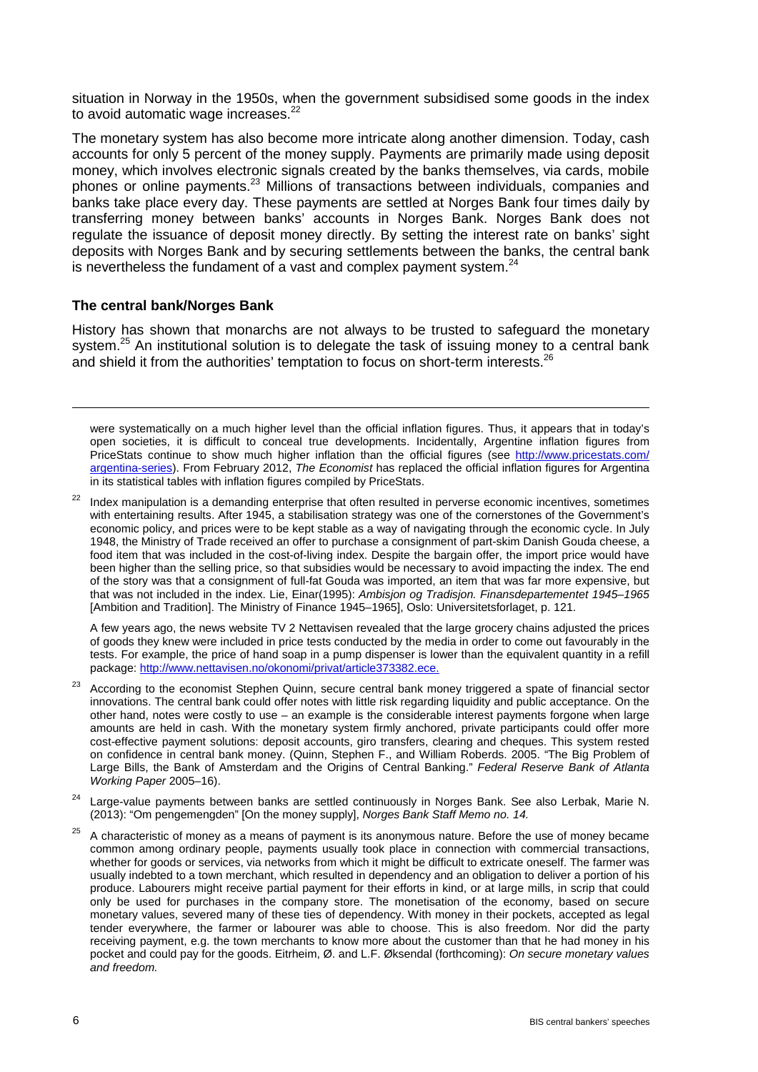situation in Norway in the 1950s, when the government subsidised some goods in the index to avoid automatic wage increases.<sup>22</sup>

The monetary system has also become more intricate along another dimension. Today, cash accounts for only 5 percent of the money supply. Payments are primarily made using deposit money, which involves electronic signals created by the banks themselves, via cards, mobile phones or online payments. <sup>23</sup> Millions of transactions between individuals, companies and banks take place every day. These payments are settled at Norges Bank four times daily by transferring money between banks' accounts in Norges Bank. Norges Bank does not regulate the issuance of deposit money directly. By setting the interest rate on banks' sight deposits with Norges Bank and by securing settlements between the banks, the central bank is nevertheless the fundament of a vast and complex payment system. $^{24}$ 

# **The central bank/Norges Bank**

-

History has shown that monarchs are not always to be trusted to safeguard the monetary system.<sup>25</sup> An institutional solution is to delegate the task of issuing money to a central bank and shield it from the authorities' temptation to focus on short-term interests.<sup>26</sup>

were systematically on a much higher level than the official inflation figures. Thus, it appears that in today's open societies, it is difficult to conceal true developments. Incidentally, Argentine inflation figures from PriceStats continue to show much higher inflation than the official figures (see [http://www.pricestats.com/](http://www.pricestats.com/%0bargentina-series) [argentina-series\)](http://www.pricestats.com/%0bargentina-series). From February 2012, *The Economist* has replaced the official inflation figures for Argentina in its statistical tables with inflation figures compiled by PriceStats.

Index manipulation is a demanding enterprise that often resulted in perverse economic incentives, sometimes with entertaining results. After 1945, a stabilisation strategy was one of the cornerstones of the Government's economic policy, and prices were to be kept stable as a way of navigating through the economic cycle. In July 1948, the Ministry of Trade received an offer to purchase a consignment of part-skim Danish Gouda cheese, a food item that was included in the cost-of-living index. Despite the bargain offer, the import price would have been higher than the selling price, so that subsidies would be necessary to avoid impacting the index. The end of the story was that a consignment of full-fat Gouda was imported, an item that was far more expensive, but that was not included in the index. Lie, Einar(1995): *Ambisjon og Tradisjon. Finansdepartementet 1945–1965* [Ambition and Tradition]. The Ministry of Finance 1945–1965], Oslo: Universitetsforlaget, p. 121.

A few years ago, the news website TV 2 Nettavisen revealed that the large grocery chains adjusted the prices of goods they knew were included in price tests conducted by the media in order to come out favourably in the tests. For example, the price of hand soap in a pump dispenser is lower than the equivalent quantity in a refill package: [http://www.nettavisen.no/okonomi/privat/article373382.ece.](http://www.nettavisen.no/okonomi/privat/article373382.ece)

- <sup>23</sup> According to the economist Stephen Quinn, secure central bank money triggered a spate of financial sector innovations. The central bank could offer notes with little risk regarding liquidity and public acceptance. On the other hand, notes were costly to use – an example is the considerable interest payments forgone when large amounts are held in cash. With the monetary system firmly anchored, private participants could offer more cost-effective payment solutions: deposit accounts, giro transfers, clearing and cheques. This system rested on confidence in central bank money. (Quinn, Stephen F., and William Roberds. 2005. "The Big Problem of Large Bills, the Bank of Amsterdam and the Origins of Central Banking." *Federal Reserve Bank of Atlanta Working Paper* 2005–16).
- <sup>24</sup> Large-value payments between banks are settled continuously in Norges Bank. See also Lerbak, Marie N. (2013): "Om pengemengden" [On the money supply], *Norges Bank Staff Memo no. 14.*
- <sup>25</sup> A characteristic of money as a means of payment is its anonymous nature. Before the use of money became common among ordinary people, payments usually took place in connection with commercial transactions, whether for goods or services, via networks from which it might be difficult to extricate oneself. The farmer was usually indebted to a town merchant, which resulted in dependency and an obligation to deliver a portion of his produce. Labourers might receive partial payment for their efforts in kind, or at large mills, in scrip that could only be used for purchases in the company store. The monetisation of the economy, based on secure monetary values, severed many of these ties of dependency. With money in their pockets, accepted as legal tender everywhere, the farmer or labourer was able to choose. This is also freedom. Nor did the party receiving payment, e.g. the town merchants to know more about the customer than that he had money in his pocket and could pay for the goods. Eitrheim, Ø. and L.F. Øksendal (forthcoming): *On secure monetary values and freedom.*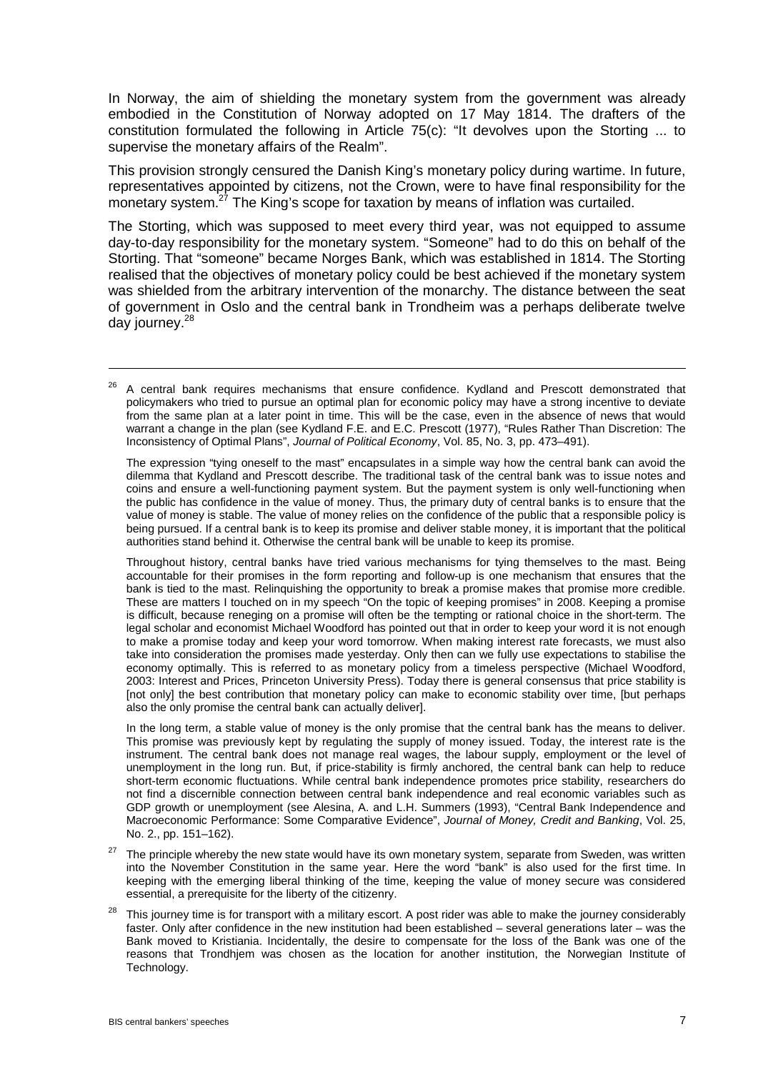In Norway, the aim of shielding the monetary system from the government was already embodied in the Constitution of Norway adopted on 17 May 1814. The drafters of the constitution formulated the following in Article 75(c): "It devolves upon the Storting ... to supervise the monetary affairs of the Realm".

This provision strongly censured the Danish King's monetary policy during wartime. In future, representatives appointed by citizens, not the Crown, were to have final responsibility for the monetary system.<sup>27</sup> The King's scope for taxation by means of inflation was curtailed.

The Storting, which was supposed to meet every third year, was not equipped to assume day-to-day responsibility for the monetary system. "Someone" had to do this on behalf of the Storting. That "someone" became Norges Bank, which was established in 1814. The Storting realised that the objectives of monetary policy could be best achieved if the monetary system was shielded from the arbitrary intervention of the monarchy. The distance between the seat of government in Oslo and the central bank in Trondheim was a perhaps deliberate twelve day journey. 28

The expression "tying oneself to the mast" encapsulates in a simple way how the central bank can avoid the dilemma that Kydland and Prescott describe. The traditional task of the central bank was to issue notes and coins and ensure a well-functioning payment system. But the payment system is only well-functioning when the public has confidence in the value of money. Thus, the primary duty of central banks is to ensure that the value of money is stable. The value of money relies on the confidence of the public that a responsible policy is being pursued. If a central bank is to keep its promise and deliver stable money, it is important that the political authorities stand behind it. Otherwise the central bank will be unable to keep its promise.

Throughout history, central banks have tried various mechanisms for tying themselves to the mast. Being accountable for their promises in the form reporting and follow-up is one mechanism that ensures that the bank is tied to the mast. Relinquishing the opportunity to break a promise makes that promise more credible. These are matters I touched on in my speech "On the topic of keeping promises" in 2008. Keeping a promise is difficult, because reneging on a promise will often be the tempting or rational choice in the short-term. The legal scholar and economist Michael Woodford has pointed out that in order to keep your word it is not enough to make a promise today and keep your word tomorrow. When making interest rate forecasts, we must also take into consideration the promises made yesterday. Only then can we fully use expectations to stabilise the economy optimally. This is referred to as monetary policy from a timeless perspective (Michael Woodford, 2003: Interest and Prices, Princeton University Press). Today there is general consensus that price stability is [not only] the best contribution that monetary policy can make to economic stability over time, [but perhaps also the only promise the central bank can actually deliver].

In the long term, a stable value of money is the only promise that the central bank has the means to deliver. This promise was previously kept by regulating the supply of money issued. Today, the interest rate is the instrument. The central bank does not manage real wages, the labour supply, employment or the level of unemployment in the long run. But, if price-stability is firmly anchored, the central bank can help to reduce short-term economic fluctuations. While central bank independence promotes price stability, researchers do not find a discernible connection between central bank independence and real economic variables such as GDP growth or unemployment (see Alesina, A. and L.H. Summers (1993), "Central Bank Independence and Macroeconomic Performance: Some Comparative Evidence", *Journal of Money, Credit and Banking*, Vol. 25, No. 2., pp. 151–162).

- <sup>27</sup> The principle whereby the new state would have its own monetary system, separate from Sweden, was written into the November Constitution in the same year. Here the word "bank" is also used for the first time. In keeping with the emerging liberal thinking of the time, keeping the value of money secure was considered essential, a prerequisite for the liberty of the citizenry.
- This journey time is for transport with a military escort. A post rider was able to make the journey considerably faster. Only after confidence in the new institution had been established – several generations later – was the Bank moved to Kristiania. Incidentally, the desire to compensate for the loss of the Bank was one of the reasons that Trondhjem was chosen as the location for another institution, the Norwegian Institute of Technology.

<sup>&</sup>lt;sup>26</sup> A central bank requires mechanisms that ensure confidence. Kydland and Prescott demonstrated that policymakers who tried to pursue an optimal plan for economic policy may have a strong incentive to deviate from the same plan at a later point in time. This will be the case, even in the absence of news that would warrant a change in the plan (see Kydland F.E. and E.C. Prescott (1977), "Rules Rather Than Discretion: The Inconsistency of Optimal Plans", *Journal of Political Economy*, Vol. 85, No. 3, pp. 473–491).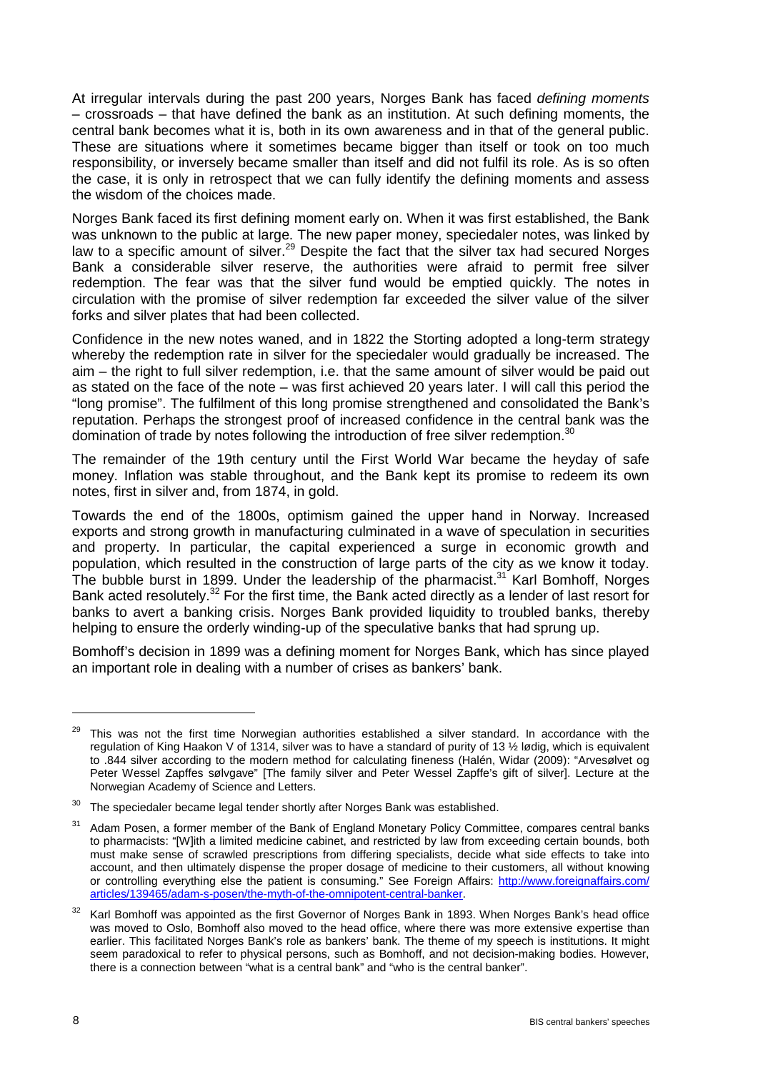At irregular intervals during the past 200 years, Norges Bank has faced *defining moments* – crossroads – that have defined the bank as an institution. At such defining moments, the central bank becomes what it is, both in its own awareness and in that of the general public. These are situations where it sometimes became bigger than itself or took on too much responsibility, or inversely became smaller than itself and did not fulfil its role. As is so often the case, it is only in retrospect that we can fully identify the defining moments and assess the wisdom of the choices made.

Norges Bank faced its first defining moment early on. When it was first established, the Bank was unknown to the public at large. The new paper money, speciedaler notes, was linked by law to a specific amount of silver.<sup>29</sup> Despite the fact that the silver tax had secured Norges Bank a considerable silver reserve, the authorities were afraid to permit free silver redemption. The fear was that the silver fund would be emptied quickly. The notes in circulation with the promise of silver redemption far exceeded the silver value of the silver forks and silver plates that had been collected.

Confidence in the new notes waned, and in 1822 the Storting adopted a long-term strategy whereby the redemption rate in silver for the speciedaler would gradually be increased. The aim – the right to full silver redemption, i.e. that the same amount of silver would be paid out as stated on the face of the note – was first achieved 20 years later. I will call this period the "long promise". The fulfilment of this long promise strengthened and consolidated the Bank's reputation. Perhaps the strongest proof of increased confidence in the central bank was the domination of trade by notes following the introduction of free silver redemption.<sup>30</sup>

The remainder of the 19th century until the First World War became the heyday of safe money. Inflation was stable throughout, and the Bank kept its promise to redeem its own notes, first in silver and, from 1874, in gold.

Towards the end of the 1800s, optimism gained the upper hand in Norway. Increased exports and strong growth in manufacturing culminated in a wave of speculation in securities and property. In particular, the capital experienced a surge in economic growth and population, which resulted in the construction of large parts of the city as we know it today. The bubble burst in 1899. Under the leadership of the pharmacist.<sup>31</sup> Karl Bomhoff, Norges Bank acted resolutely.<sup>32</sup> For the first time, the Bank acted directly as a lender of last resort for banks to avert a banking crisis. Norges Bank provided liquidity to troubled banks, thereby helping to ensure the orderly winding-up of the speculative banks that had sprung up.

Bomhoff's decision in 1899 was a defining moment for Norges Bank, which has since played an important role in dealing with a number of crises as bankers' bank.

<sup>&</sup>lt;sup>29</sup> This was not the first time Norwegian authorities established a silver standard. In accordance with the regulation of King Haakon V of 1314, silver was to have a standard of purity of 13 ½ lødig, which is equivalent to .844 silver according to the modern method for calculating fineness (Halén, Widar (2009): "Arvesølvet og Peter Wessel Zapffes sølvgave" [The family silver and Peter Wessel Zapffe's gift of silver]. Lecture at the Norwegian Academy of Science and Letters.

 $30$  The speciedaler became legal tender shortly after Norges Bank was established.

<sup>&</sup>lt;sup>31</sup> Adam Posen, a former member of the Bank of England Monetary Policy Committee, compares central banks to pharmacists: "[W]ith a limited medicine cabinet, and restricted by law from exceeding certain bounds, both must make sense of scrawled prescriptions from differing specialists, decide what side effects to take into account, and then ultimately dispense the proper dosage of medicine to their customers, all without knowing or controlling everything else the patient is consuming." See Foreign Affairs: [http://www.foreignaffairs.com/](http://www.foreignaffairs.com/%0barticles/139465/adam-s-posen/the-myth-of-the-omnipotent-central-banker) [articles/139465/adam-s-posen/the-myth-of-the-omnipotent-central-banker.](http://www.foreignaffairs.com/%0barticles/139465/adam-s-posen/the-myth-of-the-omnipotent-central-banker)

<sup>32</sup> Karl Bomhoff was appointed as the first Governor of Norges Bank in 1893. When Norges Bank's head office was moved to Oslo, Bomhoff also moved to the head office, where there was more extensive expertise than earlier. This facilitated Norges Bank's role as bankers' bank. The theme of my speech is institutions. It might seem paradoxical to refer to physical persons, such as Bomhoff, and not decision-making bodies. However, there is a connection between "what is a central bank" and "who is the central banker".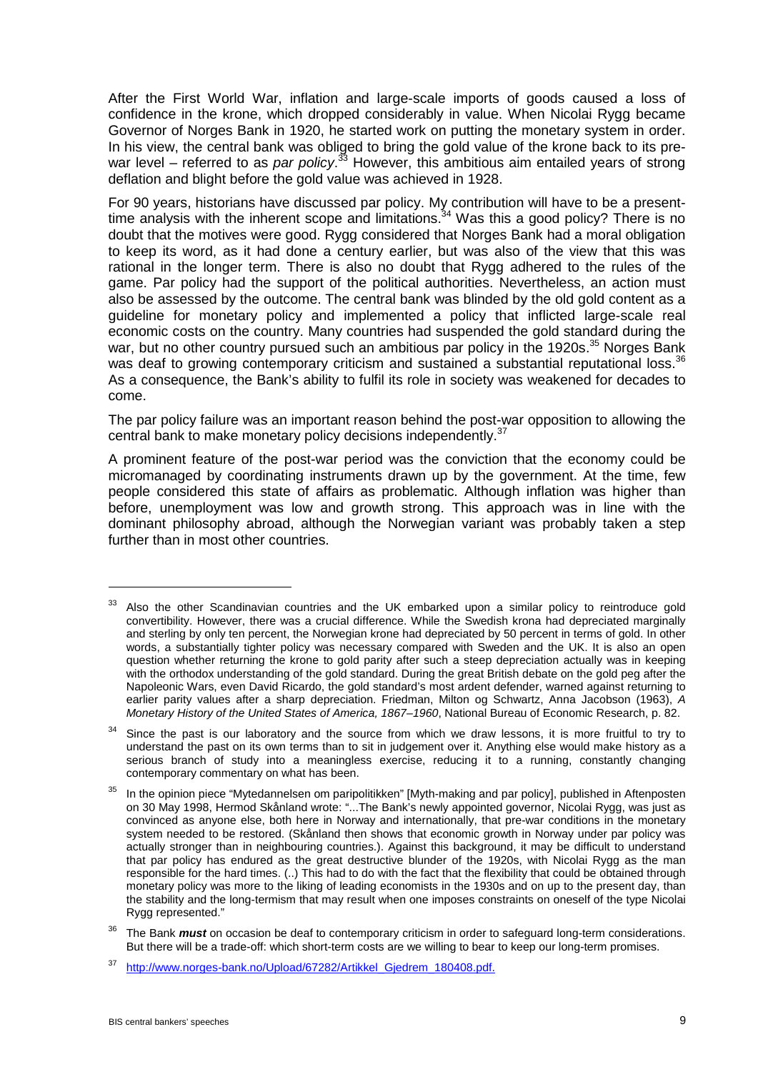After the First World War, inflation and large-scale imports of goods caused a loss of confidence in the krone, which dropped considerably in value. When Nicolai Rygg became Governor of Norges Bank in 1920, he started work on putting the monetary system in order. In his view, the central bank was obliged to bring the gold value of the krone back to its prewar level – referred to as *par policy*. <sup>33</sup> However, this ambitious aim entailed years of strong deflation and blight before the gold value was achieved in 1928.

For 90 years, historians have discussed par policy. My contribution will have to be a presenttime analysis with the inherent scope and limitations.<sup>34</sup> Was this a good policy? There is no doubt that the motives were good. Rygg considered that Norges Bank had a moral obligation to keep its word, as it had done a century earlier, but was also of the view that this was rational in the longer term. There is also no doubt that Rygg adhered to the rules of the game. Par policy had the support of the political authorities. Nevertheless, an action must also be assessed by the outcome. The central bank was blinded by the old gold content as a guideline for monetary policy and implemented a policy that inflicted large-scale real economic costs on the country. Many countries had suspended the gold standard during the war, but no other country pursued such an ambitious par policy in the 1920s.<sup>35</sup> Norges Bank was deaf to growing contemporary criticism and sustained a substantial reputational loss.<sup>36</sup> As a consequence, the Bank's ability to fulfil its role in society was weakened for decades to come.

The par policy failure was an important reason behind the post-war opposition to allowing the central bank to make monetary policy decisions independently.<sup>37</sup>

A prominent feature of the post-war period was the conviction that the economy could be micromanaged by coordinating instruments drawn up by the government. At the time, few people considered this state of affairs as problematic. Although inflation was higher than before, unemployment was low and growth strong. This approach was in line with the dominant philosophy abroad, although the Norwegian variant was probably taken a step further than in most other countries.

<sup>&</sup>lt;sup>33</sup> Also the other Scandinavian countries and the UK embarked upon a similar policy to reintroduce gold convertibility. However, there was a crucial difference. While the Swedish krona had depreciated marginally and sterling by only ten percent, the Norwegian krone had depreciated by 50 percent in terms of gold. In other words, a substantially tighter policy was necessary compared with Sweden and the UK. It is also an open question whether returning the krone to gold parity after such a steep depreciation actually was in keeping with the orthodox understanding of the gold standard. During the great British debate on the gold peg after the Napoleonic Wars, even David Ricardo, the gold standard's most ardent defender, warned against returning to earlier parity values after a sharp depreciation. Friedman, Milton og Schwartz, Anna Jacobson (1963), *A Monetary History of the United States of America, 1867–1960*, National Bureau of Economic Research, p. 82.

<sup>&</sup>lt;sup>34</sup> Since the past is our laboratory and the source from which we draw lessons, it is more fruitful to try to understand the past on its own terms than to sit in judgement over it. Anything else would make history as a serious branch of study into a meaningless exercise, reducing it to a running, constantly changing contemporary commentary on what has been.

In the opinion piece "Mytedannelsen om paripolitikken" [Myth-making and par policy], published in Aftenposten on 30 May 1998, Hermod Skånland wrote: "...The Bank's newly appointed governor, Nicolai Rygg, was just as convinced as anyone else, both here in Norway and internationally, that pre-war conditions in the monetary system needed to be restored. (Skånland then shows that economic growth in Norway under par policy was actually stronger than in neighbouring countries.). Against this background, it may be difficult to understand that par policy has endured as the great destructive blunder of the 1920s, with Nicolai Rygg as the man responsible for the hard times. (..) This had to do with the fact that the flexibility that could be obtained through monetary policy was more to the liking of leading economists in the 1930s and on up to the present day, than the stability and the long-termism that may result when one imposes constraints on oneself of the type Nicolai Rygg represented."

<sup>&</sup>lt;sup>36</sup> The Bank *must* on occasion be deaf to contemporary criticism in order to safeguard long-term considerations. But there will be a trade-off: which short-term costs are we willing to bear to keep our long-term promises.

<sup>37</sup> [http://www.norges-bank.no/Upload/67282/Artikkel\\_Gjedrem\\_180408.pdf.](http://www.norges-bank.no/Upload/67282/Artikkel_Gjedrem_180408.pdf)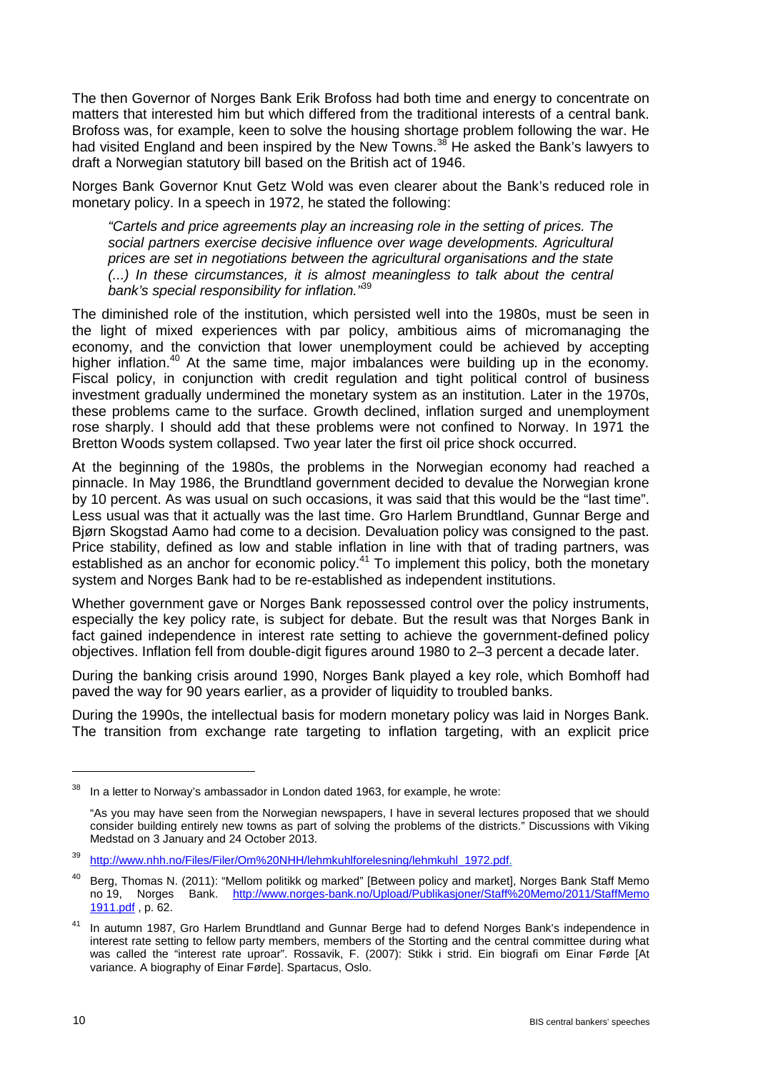The then Governor of Norges Bank Erik Brofoss had both time and energy to concentrate on matters that interested him but which differed from the traditional interests of a central bank. Brofoss was, for example, keen to solve the housing shortage problem following the war. He had visited England and been inspired by the New Towns.<sup>38</sup> He asked the Bank's lawyers to draft a Norwegian statutory bill based on the British act of 1946.

Norges Bank Governor Knut Getz Wold was even clearer about the Bank's reduced role in monetary policy. In a speech in 1972, he stated the following:

*"Cartels and price agreements play an increasing role in the setting of prices. The social partners exercise decisive influence over wage developments. Agricultural prices are set in negotiations between the agricultural organisations and the state (...) In these circumstances, it is almost meaningless to talk about the central bank's special responsibility for inflation."* 39

The diminished role of the institution, which persisted well into the 1980s, must be seen in the light of mixed experiences with par policy, ambitious aims of micromanaging the economy, and the conviction that lower unemployment could be achieved by accepting higher inflation.<sup>40</sup> At the same time, major imbalances were building up in the economy. Fiscal policy, in conjunction with credit regulation and tight political control of business investment gradually undermined the monetary system as an institution. Later in the 1970s, these problems came to the surface. Growth declined, inflation surged and unemployment rose sharply. I should add that these problems were not confined to Norway. In 1971 the Bretton Woods system collapsed. Two year later the first oil price shock occurred.

At the beginning of the 1980s, the problems in the Norwegian economy had reached a pinnacle. In May 1986, the Brundtland government decided to devalue the Norwegian krone by 10 percent. As was usual on such occasions, it was said that this would be the "last time". Less usual was that it actually was the last time. Gro Harlem Brundtland, Gunnar Berge and Bjørn Skogstad Aamo had come to a decision. Devaluation policy was consigned to the past. Price stability, defined as low and stable inflation in line with that of trading partners, was established as an anchor for economic policy.<sup>41</sup> To implement this policy, both the monetary system and Norges Bank had to be re-established as independent institutions.

Whether government gave or Norges Bank repossessed control over the policy instruments, especially the key policy rate, is subject for debate. But the result was that Norges Bank in fact gained independence in interest rate setting to achieve the government-defined policy objectives. Inflation fell from double-digit figures around 1980 to 2–3 percent a decade later.

During the banking crisis around 1990, Norges Bank played a key role, which Bomhoff had paved the way for 90 years earlier, as a provider of liquidity to troubled banks.

During the 1990s, the intellectual basis for modern monetary policy was laid in Norges Bank. The transition from exchange rate targeting to inflation targeting, with an explicit price

 $38$  In a letter to Norway's ambassador in London dated 1963, for example, he wrote:

<sup>&</sup>quot;As you may have seen from the Norwegian newspapers, I have in several lectures proposed that we should consider building entirely new towns as part of solving the problems of the districts." Discussions with Viking Medstad on 3 January and 24 October 2013.

<sup>39</sup> [http://www.nhh.no/Files/Filer/Om%20NHH/lehmkuhlforelesning/lehmkuhl\\_1972.pdf.](http://www.nhh.no/Files/Filer/Om%20NHH/lehmkuhlforelesning/lehmkuhl_1972.pdf)

<sup>&</sup>lt;sup>40</sup> Berg, Thomas N. (2011): "Mellom politikk og marked" [Between policy and market], Norges Bank Staff Memo no 19, Norges Bank. [http://www.norges-bank.no/Upload/Publikasjoner/Staff%20Memo/2011/StaffMemo](http://www.norges-bank.no/Upload/Publikasjoner/Staff%20Memo/2011/StaffMemo%0b1911.pdf) [1911.pdf](http://www.norges-bank.no/Upload/Publikasjoner/Staff%20Memo/2011/StaffMemo%0b1911.pdf) , p. 62.

<sup>41</sup> In autumn 1987, Gro Harlem Brundtland and Gunnar Berge had to defend Norges Bank's independence in interest rate setting to fellow party members, members of the Storting and the central committee during what was called the "interest rate uproar". Rossavik, F. (2007): Stikk i strid. Ein biografi om Einar Førde [At variance. A biography of Einar Førde]. Spartacus, Oslo.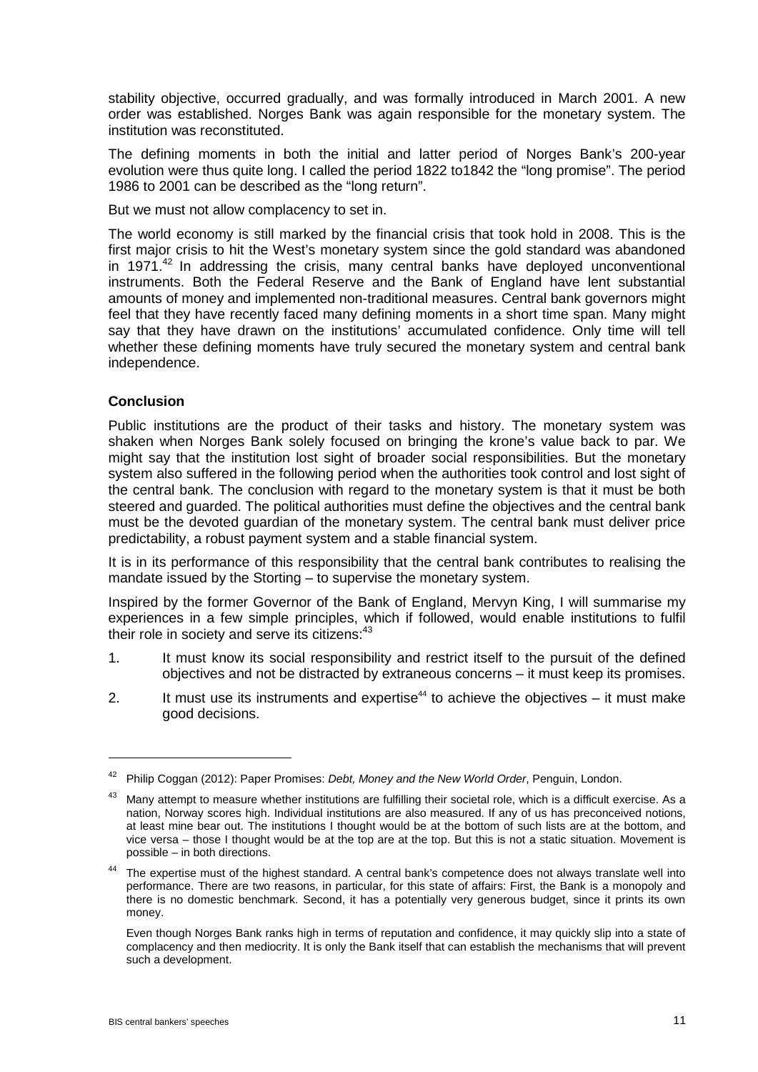stability objective, occurred gradually, and was formally introduced in March 2001. A new order was established. Norges Bank was again responsible for the monetary system. The institution was reconstituted.

The defining moments in both the initial and latter period of Norges Bank's 200-year evolution were thus quite long. I called the period 1822 to1842 the "long promise". The period 1986 to 2001 can be described as the "long return".

But we must not allow complacency to set in.

The world economy is still marked by the financial crisis that took hold in 2008. This is the first major crisis to hit the West's monetary system since the gold standard was abandoned in 1971.<sup>42</sup> In addressing the crisis, many central banks have deployed unconventional instruments. Both the Federal Reserve and the Bank of England have lent substantial amounts of money and implemented non-traditional measures. Central bank governors might feel that they have recently faced many defining moments in a short time span. Many might say that they have drawn on the institutions' accumulated confidence. Only time will tell whether these defining moments have truly secured the monetary system and central bank independence.

# **Conclusion**

1

Public institutions are the product of their tasks and history. The monetary system was shaken when Norges Bank solely focused on bringing the krone's value back to par. We might say that the institution lost sight of broader social responsibilities. But the monetary system also suffered in the following period when the authorities took control and lost sight of the central bank. The conclusion with regard to the monetary system is that it must be both steered and guarded. The political authorities must define the objectives and the central bank must be the devoted guardian of the monetary system. The central bank must deliver price predictability, a robust payment system and a stable financial system.

It is in its performance of this responsibility that the central bank contributes to realising the mandate issued by the Storting – to supervise the monetary system.

Inspired by the former Governor of the Bank of England, Mervyn King, I will summarise my experiences in a few simple principles, which if followed, would enable institutions to fulfil their role in society and serve its citizens:<sup>43</sup>

- 1. It must know its social responsibility and restrict itself to the pursuit of the defined objectives and not be distracted by extraneous concerns – it must keep its promises.
- 2. It must use its instruments and expertise<sup>44</sup> to achieve the objectives  $-$  it must make good decisions.

<sup>42</sup> Philip Coggan (2012): Paper Promises: *Debt, Money and the New World Order*, Penguin, London.

<sup>&</sup>lt;sup>43</sup> Many attempt to measure whether institutions are fulfilling their societal role, which is a difficult exercise. As a nation, Norway scores high. Individual institutions are also measured. If any of us has preconceived notions, at least mine bear out. The institutions I thought would be at the bottom of such lists are at the bottom, and vice versa – those I thought would be at the top are at the top. But this is not a static situation. Movement is possible – in both directions.

<sup>&</sup>lt;sup>44</sup> The expertise must of the highest standard. A central bank's competence does not always translate well into performance. There are two reasons, in particular, for this state of affairs: First, the Bank is a monopoly and there is no domestic benchmark. Second, it has a potentially very generous budget, since it prints its own money.

Even though Norges Bank ranks high in terms of reputation and confidence, it may quickly slip into a state of complacency and then mediocrity. It is only the Bank itself that can establish the mechanisms that will prevent such a development.